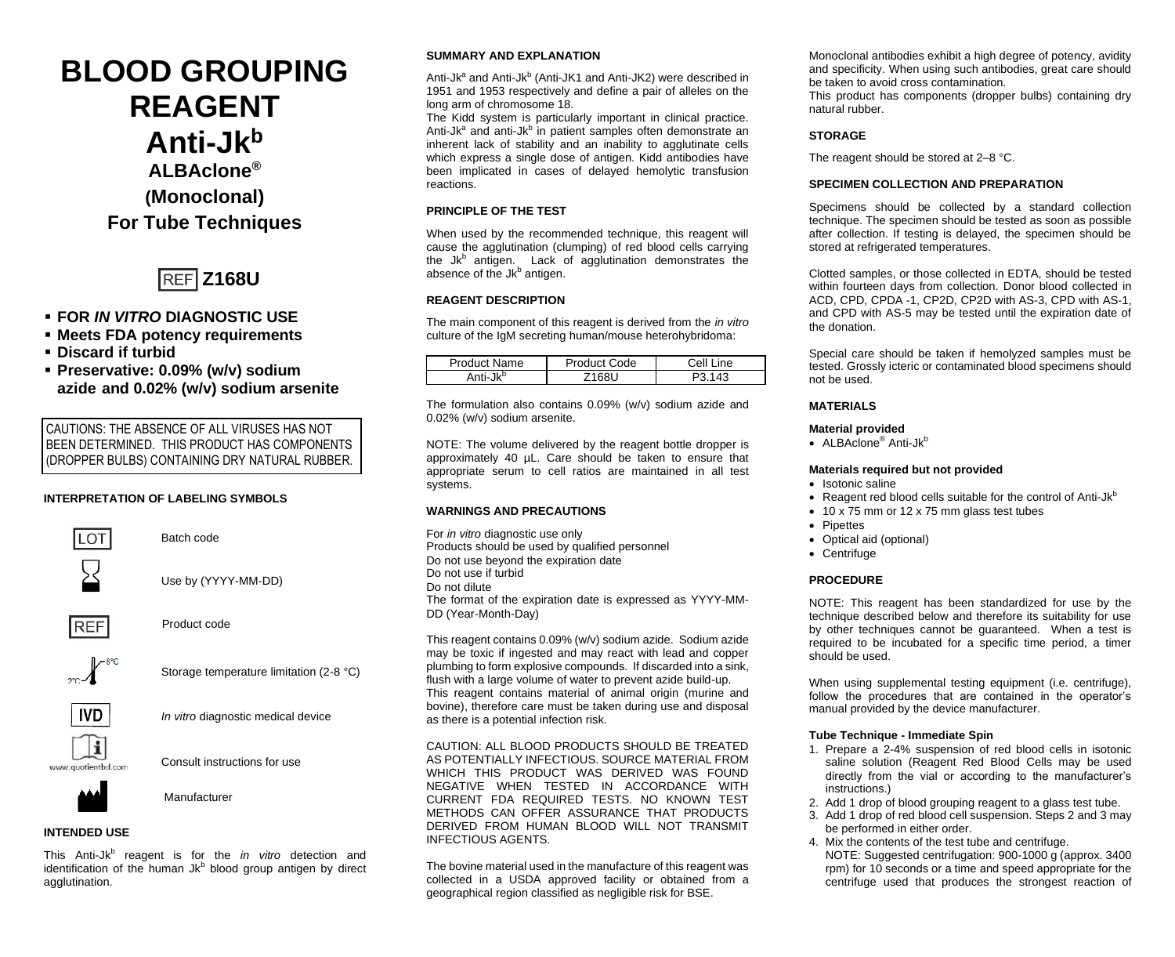# **BLOOD GROUPING REAGENT Anti-Jk<sup>b</sup> ALBAclone® (Monoclonal) For Tube Techniques**



# ▪ **FOR** *IN VITRO* **DIAGNOSTIC USE**

- **Meets FDA potency requirements**
- **Discard if turbid**
- **Preservative: 0.09% (w/v) sodium azide and 0.02% (w/v) sodium arsenite**

CAUTIONS: THE ABSENCE OF ALL VIRUSES HAS NOT BEEN DETERMINED. THIS PRODUCT HAS COMPONENTS (DROPPER BULBS) CONTAINING DRY NATURAL RUBBER.

# **INTERPRETATION OF LABELING SYMBOLS**



Batch code



Use by (YYYY-MM-DD)



Product code



Storage temperature limitation (2-8 °C)



*In vitro* diagnostic medical device



Consult instructions for use



# **INTENDED USE**

This Anti-Jk<sup>b</sup> reagent is for the *in vitro* detection and identification of the human Jk<sup>b</sup> blood group antigen by direct agglutination.

## **SUMMARY AND EXPLANATION**

Anti-Jk<sup>a</sup> and Anti-Jk<sup>b</sup> (Anti-JK1 and Anti-JK2) were described in 1951 and 1953 respectively and define a pair of alleles on the long arm of chromosome 18.

The Kidd system is particularly important in clinical practice. Anti-Jk<sup>a</sup> and anti-Jk<sup>b</sup> in patient samples often demonstrate an inherent lack of stability and an inability to agglutinate cells which express a single dose of antigen. Kidd antibodies have been implicated in cases of delayed hemolytic transfusion reactions.

#### **PRINCIPLE OF THE TEST**

When used by the recommended technique, this reagent will cause the agglutination (clumping) of red blood cells carrying the Jk<sup>b</sup> antigen. Lack of agglutination demonstrates the absence of the Jk<sup>b</sup> antigen.

#### **REAGENT DESCRIPTION**

The main component of this reagent is derived from the *in vitro* culture of the IgM secreting human/mouse heterohybridoma:

| Product Name         | Product Code | Cell Line |  |
|----------------------|--------------|-----------|--|
| Anti-Jk <sup>b</sup> | 691          |           |  |

The formulation also contains 0.09% (w/v) sodium azide and 0.02% (w/v) sodium arsenite.

NOTE: The volume delivered by the reagent bottle dropper is approximately 40 µL. Care should be taken to ensure that appropriate serum to cell ratios are maintained in all test systems.

#### **WARNINGS AND PRECAUTIONS**

For *in vitro* diagnostic use only Products should be used by qualified personnel Do not use beyond the expiration date Do not use if turbid Do not dilute The format of the expiration date is expressed as YYYY-MM-DD (Year-Month-Day)

This reagent contains 0.09% (w/v) sodium azide. Sodium azide may be toxic if ingested and may react with lead and copper plumbing to form explosive compounds. If discarded into a sink, flush with a large volume of water to prevent azide build-up. This reagent contains material of animal origin (murine and bovine), therefore care must be taken during use and disposal as there is a potential infection risk.

CAUTION: ALL BLOOD PRODUCTS SHOULD BE TREATED AS POTENTIALLY INFECTIOUS. SOURCE MATERIAL FROM WHICH THIS PRODUCT WAS DERIVED WAS FOUND NEGATIVE WHEN TESTED IN ACCORDANCE WITH CURRENT FDA REQUIRED TESTS. NO KNOWN TEST METHODS CAN OFFER ASSURANCE THAT PRODUCTS DERIVED FROM HUMAN BLOOD WILL NOT TRANSMIT INFECTIOUS AGENTS.

The bovine material used in the manufacture of this reagent was collected in a USDA approved facility or obtained from a geographical region classified as negligible risk for BSE.

Monoclonal antibodies exhibit a high degree of potency, avidity and specificity. When using such antibodies, great care should be taken to avoid cross contamination*.*

This product has components (dropper bulbs) containing dry natural rubber.

# **STORAGE**

The reagent should be stored at 2–8 °C.

### **SPECIMEN COLLECTION AND PREPARATION**

Specimens should be collected by a standard collection technique. The specimen should be tested as soon as possible after collection. If testing is delayed, the specimen should be stored at refrigerated temperatures.

Clotted samples, or those collected in EDTA, should be tested within fourteen days from collection. Donor blood collected in ACD, CPD, CPDA -1, CP2D, CP2D with AS-3, CPD with AS-1, and CPD with AS-5 may be tested until the expiration date of the donation.

Special care should be taken if hemolyzed samples must be tested. Grossly icteric or contaminated blood specimens should not be used.

# **MATERIALS**

## **Material provided**

• ALBAclone<sup>®</sup> Anti-Jk<sup>b</sup>

#### **Materials required but not provided**

- Isotonic saline
- Reagent red blood cells suitable for the control of Anti-J $k^b$
- 10 x 75 mm or 12 x 75 mm glass test tubes
- Pipettes
- Optical aid (optional)
- Centrifuge

## **PROCEDURE**

NOTE: This reagent has been standardized for use by the technique described below and therefore its suitability for use by other techniques cannot be guaranteed. When a test is required to be incubated for a specific time period, a timer should be used.

When using supplemental testing equipment (i.e. centrifuge), follow the procedures that are contained in the operator's manual provided by the device manufacturer.

## **Tube Technique - Immediate Spin**

- 1. Prepare a 2-4% suspension of red blood cells in isotonic saline solution (Reagent Red Blood Cells may be used directly from the vial or according to the manufacturer's instructions.)
- 2. Add 1 drop of blood grouping reagent to a glass test tube.
- 3. Add 1 drop of red blood cell suspension. Steps 2 and 3 may be performed in either order.
- 4. Mix the contents of the test tube and centrifuge. NOTE: Suggested centrifugation: 900-1000 g (approx. 3400 rpm) for 10 seconds or a time and speed appropriate for the centrifuge used that produces the strongest reaction of